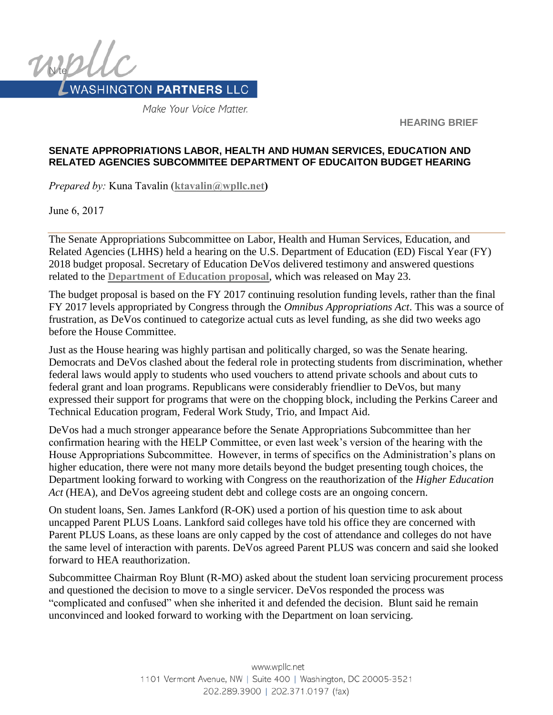

Make Your Voice Matter.

**HEARING BRIEF**

### **SENATE APPROPRIATIONS LABOR, HEALTH AND HUMAN SERVICES, EDUCATION AND RELATED AGENCIES SUBCOMMITEE DEPARTMENT OF EDUCAITON BUDGET HEARING**

*Prepared by:* Kuna Tavalin (**[ktavalin@wpllc.net\)](mailto:ktavalin@wpllc.net)**

June 6, 2017

The Senate Appropriations Subcommittee on Labor, Health and Human Services, Education, and Related Agencies (LHHS) held a hearing on the U.S. Department of Education (ED) Fiscal Year (FY) 2018 budget proposal. Secretary of Education DeVos delivered testimony and answered questions related to the **[Department of Education proposal](https://www.whitehouse.gov/sites/whitehouse.gov/files/omb/budget/fy2018/edu.pdf)**, which was released on May 23.

The budget proposal is based on the FY 2017 continuing resolution funding levels, rather than the final FY 2017 levels appropriated by Congress through the *Omnibus Appropriations Act*. This was a source of frustration, as DeVos continued to categorize actual cuts as level funding, as she did two weeks ago before the House Committee.

Just as the House hearing was highly partisan and politically charged, so was the Senate hearing. Democrats and DeVos clashed about the federal role in protecting students from discrimination, whether federal laws would apply to students who used vouchers to attend private schools and about cuts to federal grant and loan programs. Republicans were considerably friendlier to DeVos, but many expressed their support for programs that were on the chopping block, including the Perkins Career and Technical Education program, Federal Work Study, Trio, and Impact Aid.

DeVos had a much stronger appearance before the Senate Appropriations Subcommittee than her confirmation hearing with the HELP Committee, or even last week's version of the hearing with the House Appropriations Subcommittee. However, in terms of specifics on the Administration's plans on higher education, there were not many more details beyond the budget presenting tough choices, the Department looking forward to working with Congress on the reauthorization of the *Higher Education Act* (HEA), and DeVos agreeing student debt and college costs are an ongoing concern.

On student loans, Sen. James Lankford (R-OK) used a portion of his question time to ask about uncapped Parent PLUS Loans. Lankford said colleges have told his office they are concerned with Parent PLUS Loans, as these loans are only capped by the cost of attendance and colleges do not have the same level of interaction with parents. DeVos agreed Parent PLUS was concern and said she looked forward to HEA reauthorization.

Subcommittee Chairman Roy Blunt (R-MO) asked about the student loan servicing procurement process and questioned the decision to move to a single servicer. DeVos responded the process was "complicated and confused" when she inherited it and defended the decision. Blunt said he remain unconvinced and looked forward to working with the Department on loan servicing.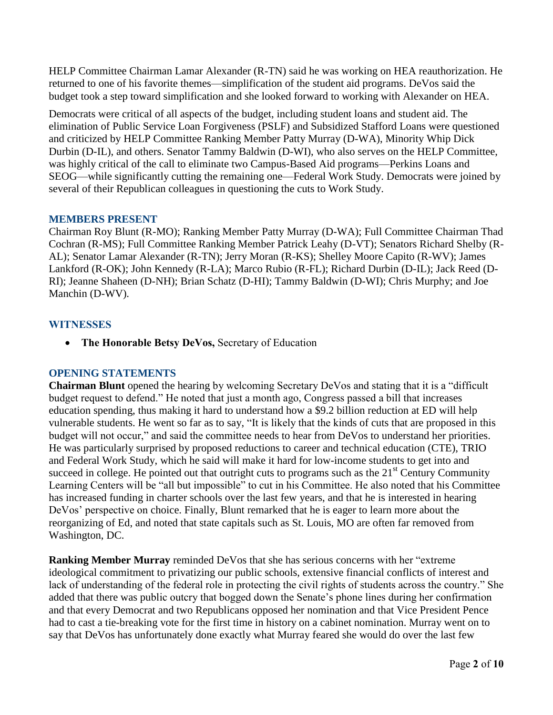HELP Committee Chairman Lamar Alexander (R-TN) said he was working on HEA reauthorization. He returned to one of his favorite themes—simplification of the student aid programs. DeVos said the budget took a step toward simplification and she looked forward to working with Alexander on HEA.

Democrats were critical of all aspects of the budget, including student loans and student aid. The elimination of Public Service Loan Forgiveness (PSLF) and Subsidized Stafford Loans were questioned and criticized by HELP Committee Ranking Member Patty Murray (D-WA), Minority Whip Dick Durbin (D-IL), and others. Senator Tammy Baldwin (D-WI), who also serves on the HELP Committee, was highly critical of the call to eliminate two Campus-Based Aid programs—Perkins Loans and SEOG—while significantly cutting the remaining one—Federal Work Study. Democrats were joined by several of their Republican colleagues in questioning the cuts to Work Study.

## **MEMBERS PRESENT**

Chairman Roy Blunt (R-MO); Ranking Member Patty Murray (D-WA); Full Committee Chairman Thad Cochran (R-MS); Full Committee Ranking Member Patrick Leahy (D-VT); Senators Richard Shelby (R-AL); Senator Lamar Alexander (R-TN); Jerry Moran (R-KS); Shelley Moore Capito (R-WV); James Lankford (R-OK); John Kennedy (R-LA); Marco Rubio (R-FL); Richard Durbin (D-IL); Jack Reed (D-RI); Jeanne Shaheen (D-NH); Brian Schatz (D-HI); Tammy Baldwin (D-WI); Chris Murphy; and Joe Manchin (D-WV).

## **WITNESSES**

**The Honorable Betsy DeVos,** Secretary of Education

### **OPENING STATEMENTS**

**Chairman Blunt** opened the hearing by welcoming Secretary DeVos and stating that it is a "difficult budget request to defend." He noted that just a month ago, Congress passed a bill that increases education spending, thus making it hard to understand how a \$9.2 billion reduction at ED will help vulnerable students. He went so far as to say, "It is likely that the kinds of cuts that are proposed in this budget will not occur," and said the committee needs to hear from DeVos to understand her priorities. He was particularly surprised by proposed reductions to career and technical education (CTE), TRIO and Federal Work Study, which he said will make it hard for low-income students to get into and succeed in college. He pointed out that outright cuts to programs such as the  $21<sup>st</sup>$  Century Community Learning Centers will be "all but impossible" to cut in his Committee. He also noted that his Committee has increased funding in charter schools over the last few years, and that he is interested in hearing DeVos' perspective on choice. Finally, Blunt remarked that he is eager to learn more about the reorganizing of Ed, and noted that state capitals such as St. Louis, MO are often far removed from Washington, DC.

**Ranking Member Murray** reminded DeVos that she has serious concerns with her "extreme ideological commitment to privatizing our public schools, extensive financial conflicts of interest and lack of understanding of the federal role in protecting the civil rights of students across the country." She added that there was public outcry that bogged down the Senate's phone lines during her confirmation and that every Democrat and two Republicans opposed her nomination and that Vice President Pence had to cast a tie-breaking vote for the first time in history on a cabinet nomination. Murray went on to say that DeVos has unfortunately done exactly what Murray feared she would do over the last few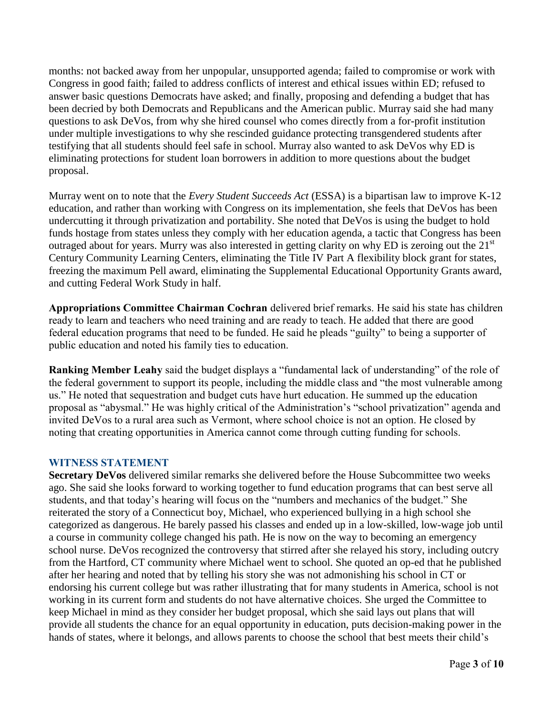months: not backed away from her unpopular, unsupported agenda; failed to compromise or work with Congress in good faith; failed to address conflicts of interest and ethical issues within ED; refused to answer basic questions Democrats have asked; and finally, proposing and defending a budget that has been decried by both Democrats and Republicans and the American public. Murray said she had many questions to ask DeVos, from why she hired counsel who comes directly from a for-profit institution under multiple investigations to why she rescinded guidance protecting transgendered students after testifying that all students should feel safe in school. Murray also wanted to ask DeVos why ED is eliminating protections for student loan borrowers in addition to more questions about the budget proposal.

Murray went on to note that the *Every Student Succeeds Act* (ESSA) is a bipartisan law to improve K-12 education, and rather than working with Congress on its implementation, she feels that DeVos has been undercutting it through privatization and portability. She noted that DeVos is using the budget to hold funds hostage from states unless they comply with her education agenda, a tactic that Congress has been outraged about for years. Murry was also interested in getting clarity on why ED is zeroing out the  $21<sup>st</sup>$ Century Community Learning Centers, eliminating the Title IV Part A flexibility block grant for states, freezing the maximum Pell award, eliminating the Supplemental Educational Opportunity Grants award, and cutting Federal Work Study in half.

**Appropriations Committee Chairman Cochran** delivered brief remarks. He said his state has children ready to learn and teachers who need training and are ready to teach. He added that there are good federal education programs that need to be funded. He said he pleads "guilty" to being a supporter of public education and noted his family ties to education.

**Ranking Member Leahy** said the budget displays a "fundamental lack of understanding" of the role of the federal government to support its people, including the middle class and "the most vulnerable among us." He noted that sequestration and budget cuts have hurt education. He summed up the education proposal as "abysmal." He was highly critical of the Administration's "school privatization" agenda and invited DeVos to a rural area such as Vermont, where school choice is not an option. He closed by noting that creating opportunities in America cannot come through cutting funding for schools.

### **WITNESS STATEMENT**

**Secretary DeVos** delivered similar remarks she delivered before the House Subcommittee two weeks ago. She said she looks forward to working together to fund education programs that can best serve all students, and that today's hearing will focus on the "numbers and mechanics of the budget." She reiterated the story of a Connecticut boy, Michael, who experienced bullying in a high school she categorized as dangerous. He barely passed his classes and ended up in a low-skilled, low-wage job until a course in community college changed his path. He is now on the way to becoming an emergency school nurse. DeVos recognized the controversy that stirred after she relayed his story, including outcry from the Hartford, CT community where Michael went to school. She quoted an op-ed that he published after her hearing and noted that by telling his story she was not admonishing his school in CT or endorsing his current college but was rather illustrating that for many students in America, school is not working in its current form and students do not have alternative choices. She urged the Committee to keep Michael in mind as they consider her budget proposal, which she said lays out plans that will provide all students the chance for an equal opportunity in education, puts decision-making power in the hands of states, where it belongs, and allows parents to choose the school that best meets their child's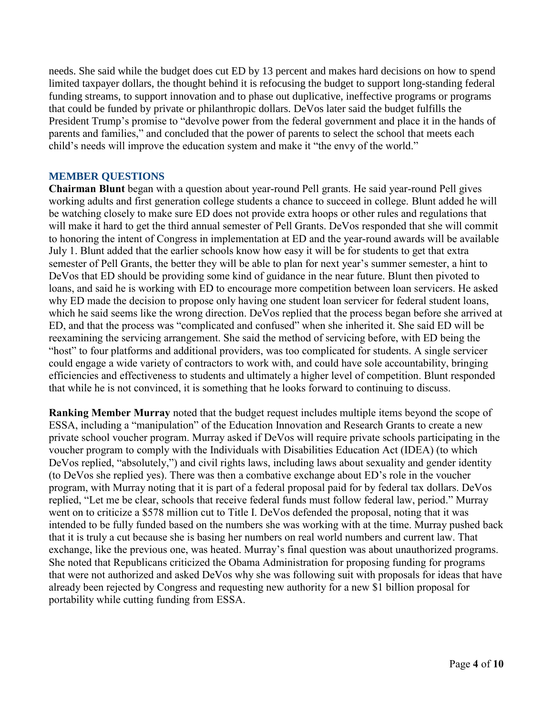needs. She said while the budget does cut ED by 13 percent and makes hard decisions on how to spend limited taxpayer dollars, the thought behind it is refocusing the budget to support long-standing federal funding streams, to support innovation and to phase out duplicative, ineffective programs or programs that could be funded by private or philanthropic dollars. DeVos later said the budget fulfills the President Trump's promise to "devolve power from the federal government and place it in the hands of parents and families," and concluded that the power of parents to select the school that meets each child's needs will improve the education system and make it "the envy of the world."

#### **MEMBER QUESTIONS**

**Chairman Blunt** began with a question about year-round Pell grants. He said year-round Pell gives working adults and first generation college students a chance to succeed in college. Blunt added he will be watching closely to make sure ED does not provide extra hoops or other rules and regulations that will make it hard to get the third annual semester of Pell Grants. DeVos responded that she will commit to honoring the intent of Congress in implementation at ED and the year-round awards will be available July 1. Blunt added that the earlier schools know how easy it will be for students to get that extra semester of Pell Grants, the better they will be able to plan for next year's summer semester, a hint to DeVos that ED should be providing some kind of guidance in the near future. Blunt then pivoted to loans, and said he is working with ED to encourage more competition between loan servicers. He asked why ED made the decision to propose only having one student loan servicer for federal student loans, which he said seems like the wrong direction. DeVos replied that the process began before she arrived at ED, and that the process was "complicated and confused" when she inherited it. She said ED will be reexamining the servicing arrangement. She said the method of servicing before, with ED being the "host" to four platforms and additional providers, was too complicated for students. A single servicer could engage a wide variety of contractors to work with, and could have sole accountability, bringing efficiencies and effectiveness to students and ultimately a higher level of competition. Blunt responded that while he is not convinced, it is something that he looks forward to continuing to discuss.

**Ranking Member Murray** noted that the budget request includes multiple items beyond the scope of ESSA, including a "manipulation" of the Education Innovation and Research Grants to create a new private school voucher program. Murray asked if DeVos will require private schools participating in the voucher program to comply with the Individuals with Disabilities Education Act (IDEA) (to which DeVos replied, "absolutely,") and civil rights laws, including laws about sexuality and gender identity (to DeVos she replied yes). There was then a combative exchange about ED's role in the voucher program, with Murray noting that it is part of a federal proposal paid for by federal tax dollars. DeVos replied, "Let me be clear, schools that receive federal funds must follow federal law, period." Murray went on to criticize a \$578 million cut to Title I. DeVos defended the proposal, noting that it was intended to be fully funded based on the numbers she was working with at the time. Murray pushed back that it is truly a cut because she is basing her numbers on real world numbers and current law. That exchange, like the previous one, was heated. Murray's final question was about unauthorized programs. She noted that Republicans criticized the Obama Administration for proposing funding for programs that were not authorized and asked DeVos why she was following suit with proposals for ideas that have already been rejected by Congress and requesting new authority for a new \$1 billion proposal for portability while cutting funding from ESSA.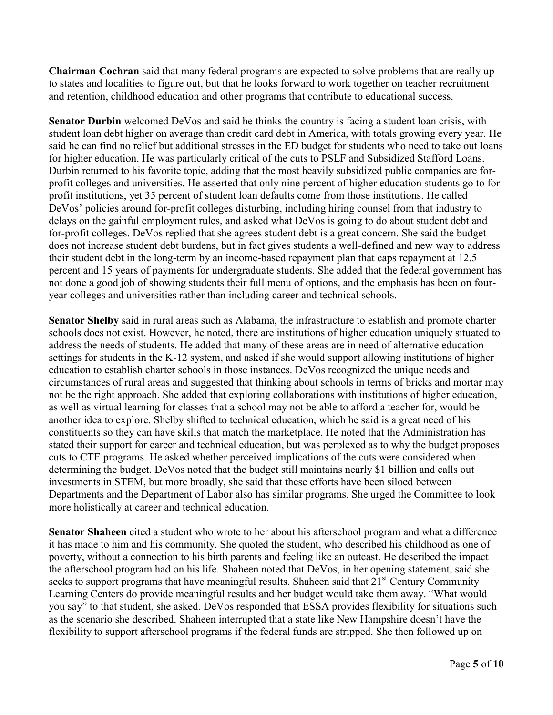**Chairman Cochran** said that many federal programs are expected to solve problems that are really up to states and localities to figure out, but that he looks forward to work together on teacher recruitment and retention, childhood education and other programs that contribute to educational success.

**Senator Durbin** welcomed DeVos and said he thinks the country is facing a student loan crisis, with student loan debt higher on average than credit card debt in America, with totals growing every year. He said he can find no relief but additional stresses in the ED budget for students who need to take out loans for higher education. He was particularly critical of the cuts to PSLF and Subsidized Stafford Loans. Durbin returned to his favorite topic, adding that the most heavily subsidized public companies are forprofit colleges and universities. He asserted that only nine percent of higher education students go to forprofit institutions, yet 35 percent of student loan defaults come from those institutions. He called DeVos' policies around for-profit colleges disturbing, including hiring counsel from that industry to delays on the gainful employment rules, and asked what DeVos is going to do about student debt and for-profit colleges. DeVos replied that she agrees student debt is a great concern. She said the budget does not increase student debt burdens, but in fact gives students a well-defined and new way to address their student debt in the long-term by an income-based repayment plan that caps repayment at 12.5 percent and 15 years of payments for undergraduate students. She added that the federal government has not done a good job of showing students their full menu of options, and the emphasis has been on fouryear colleges and universities rather than including career and technical schools.

**Senator Shelby** said in rural areas such as Alabama, the infrastructure to establish and promote charter schools does not exist. However, he noted, there are institutions of higher education uniquely situated to address the needs of students. He added that many of these areas are in need of alternative education settings for students in the K-12 system, and asked if she would support allowing institutions of higher education to establish charter schools in those instances. DeVos recognized the unique needs and circumstances of rural areas and suggested that thinking about schools in terms of bricks and mortar may not be the right approach. She added that exploring collaborations with institutions of higher education, as well as virtual learning for classes that a school may not be able to afford a teacher for, would be another idea to explore. Shelby shifted to technical education, which he said is a great need of his constituents so they can have skills that match the marketplace. He noted that the Administration has stated their support for career and technical education, but was perplexed as to why the budget proposes cuts to CTE programs. He asked whether perceived implications of the cuts were considered when determining the budget. DeVos noted that the budget still maintains nearly \$1 billion and calls out investments in STEM, but more broadly, she said that these efforts have been siloed between Departments and the Department of Labor also has similar programs. She urged the Committee to look more holistically at career and technical education.

**Senator Shaheen** cited a student who wrote to her about his afterschool program and what a difference it has made to him and his community. She quoted the student, who described his childhood as one of poverty, without a connection to his birth parents and feeling like an outcast. He described the impact the afterschool program had on his life. Shaheen noted that DeVos, in her opening statement, said she seeks to support programs that have meaningful results. Shaheen said that  $21<sup>st</sup>$  Century Community Learning Centers do provide meaningful results and her budget would take them away. "What would you say" to that student, she asked. DeVos responded that ESSA provides flexibility for situations such as the scenario she described. Shaheen interrupted that a state like New Hampshire doesn't have the flexibility to support afterschool programs if the federal funds are stripped. She then followed up on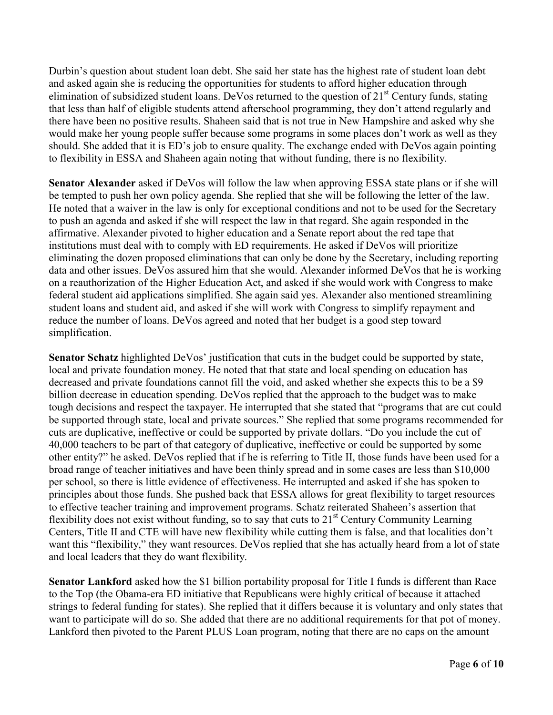Durbin's question about student loan debt. She said her state has the highest rate of student loan debt and asked again she is reducing the opportunities for students to afford higher education through elimination of subsidized student loans. DeVos returned to the question of  $21<sup>st</sup>$  Century funds, stating that less than half of eligible students attend afterschool programming, they don't attend regularly and there have been no positive results. Shaheen said that is not true in New Hampshire and asked why she would make her young people suffer because some programs in some places don't work as well as they should. She added that it is ED's job to ensure quality. The exchange ended with DeVos again pointing to flexibility in ESSA and Shaheen again noting that without funding, there is no flexibility.

**Senator Alexander** asked if DeVos will follow the law when approving ESSA state plans or if she will be tempted to push her own policy agenda. She replied that she will be following the letter of the law. He noted that a waiver in the law is only for exceptional conditions and not to be used for the Secretary to push an agenda and asked if she will respect the law in that regard. She again responded in the affirmative. Alexander pivoted to higher education and a Senate report about the red tape that institutions must deal with to comply with ED requirements. He asked if DeVos will prioritize eliminating the dozen proposed eliminations that can only be done by the Secretary, including reporting data and other issues. DeVos assured him that she would. Alexander informed DeVos that he is working on a reauthorization of the Higher Education Act, and asked if she would work with Congress to make federal student aid applications simplified. She again said yes. Alexander also mentioned streamlining student loans and student aid, and asked if she will work with Congress to simplify repayment and reduce the number of loans. DeVos agreed and noted that her budget is a good step toward simplification.

**Senator Schatz** highlighted DeVos' justification that cuts in the budget could be supported by state, local and private foundation money. He noted that that state and local spending on education has decreased and private foundations cannot fill the void, and asked whether she expects this to be a \$9 billion decrease in education spending. DeVos replied that the approach to the budget was to make tough decisions and respect the taxpayer. He interrupted that she stated that "programs that are cut could be supported through state, local and private sources." She replied that some programs recommended for cuts are duplicative, ineffective or could be supported by private dollars. "Do you include the cut of 40,000 teachers to be part of that category of duplicative, ineffective or could be supported by some other entity?" he asked. DeVos replied that if he is referring to Title II, those funds have been used for a broad range of teacher initiatives and have been thinly spread and in some cases are less than \$10,000 per school, so there is little evidence of effectiveness. He interrupted and asked if she has spoken to principles about those funds. She pushed back that ESSA allows for great flexibility to target resources to effective teacher training and improvement programs. Schatz reiterated Shaheen's assertion that flexibility does not exist without funding, so to say that cuts to  $21<sup>st</sup>$  Century Community Learning Centers, Title II and CTE will have new flexibility while cutting them is false, and that localities don't want this "flexibility," they want resources. DeVos replied that she has actually heard from a lot of state and local leaders that they do want flexibility.

**Senator Lankford** asked how the \$1 billion portability proposal for Title I funds is different than Race to the Top (the Obama-era ED initiative that Republicans were highly critical of because it attached strings to federal funding for states). She replied that it differs because it is voluntary and only states that want to participate will do so. She added that there are no additional requirements for that pot of money. Lankford then pivoted to the Parent PLUS Loan program, noting that there are no caps on the amount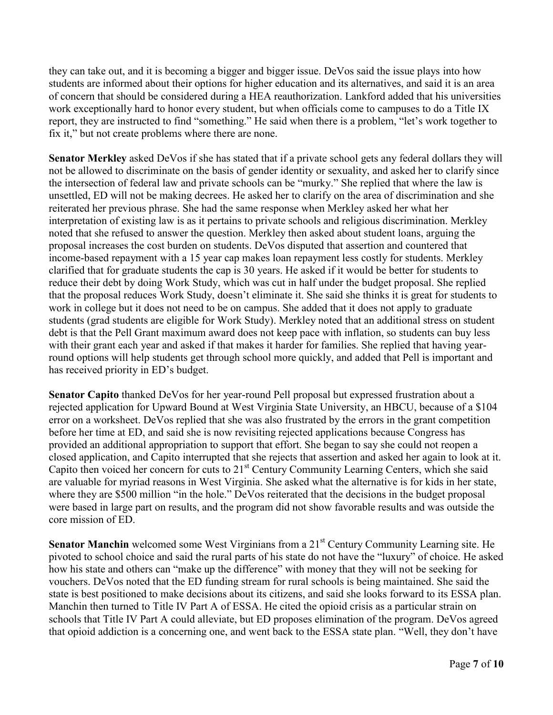they can take out, and it is becoming a bigger and bigger issue. DeVos said the issue plays into how students are informed about their options for higher education and its alternatives, and said it is an area of concern that should be considered during a HEA reauthorization. Lankford added that his universities work exceptionally hard to honor every student, but when officials come to campuses to do a Title IX report, they are instructed to find "something." He said when there is a problem, "let's work together to fix it," but not create problems where there are none.

**Senator Merkley** asked DeVos if she has stated that if a private school gets any federal dollars they will not be allowed to discriminate on the basis of gender identity or sexuality, and asked her to clarify since the intersection of federal law and private schools can be "murky." She replied that where the law is unsettled, ED will not be making decrees. He asked her to clarify on the area of discrimination and she reiterated her previous phrase. She had the same response when Merkley asked her what her interpretation of existing law is as it pertains to private schools and religious discrimination. Merkley noted that she refused to answer the question. Merkley then asked about student loans, arguing the proposal increases the cost burden on students. DeVos disputed that assertion and countered that income-based repayment with a 15 year cap makes loan repayment less costly for students. Merkley clarified that for graduate students the cap is 30 years. He asked if it would be better for students to reduce their debt by doing Work Study, which was cut in half under the budget proposal. She replied that the proposal reduces Work Study, doesn't eliminate it. She said she thinks it is great for students to work in college but it does not need to be on campus. She added that it does not apply to graduate students (grad students are eligible for Work Study). Merkley noted that an additional stress on student debt is that the Pell Grant maximum award does not keep pace with inflation, so students can buy less with their grant each year and asked if that makes it harder for families. She replied that having yearround options will help students get through school more quickly, and added that Pell is important and has received priority in ED's budget.

**Senator Capito** thanked DeVos for her year-round Pell proposal but expressed frustration about a rejected application for Upward Bound at West Virginia State University, an HBCU, because of a \$104 error on a worksheet. DeVos replied that she was also frustrated by the errors in the grant competition before her time at ED, and said she is now revisiting rejected applications because Congress has provided an additional appropriation to support that effort. She began to say she could not reopen a closed application, and Capito interrupted that she rejects that assertion and asked her again to look at it. Capito then voiced her concern for cuts to 21<sup>st</sup> Century Community Learning Centers, which she said are valuable for myriad reasons in West Virginia. She asked what the alternative is for kids in her state, where they are \$500 million "in the hole." DeVos reiterated that the decisions in the budget proposal were based in large part on results, and the program did not show favorable results and was outside the core mission of ED.

**Senator Manchin** welcomed some West Virginians from a 21<sup>st</sup> Century Community Learning site. He pivoted to school choice and said the rural parts of his state do not have the "luxury" of choice. He asked how his state and others can "make up the difference" with money that they will not be seeking for vouchers. DeVos noted that the ED funding stream for rural schools is being maintained. She said the state is best positioned to make decisions about its citizens, and said she looks forward to its ESSA plan. Manchin then turned to Title IV Part A of ESSA. He cited the opioid crisis as a particular strain on schools that Title IV Part A could alleviate, but ED proposes elimination of the program. DeVos agreed that opioid addiction is a concerning one, and went back to the ESSA state plan. "Well, they don't have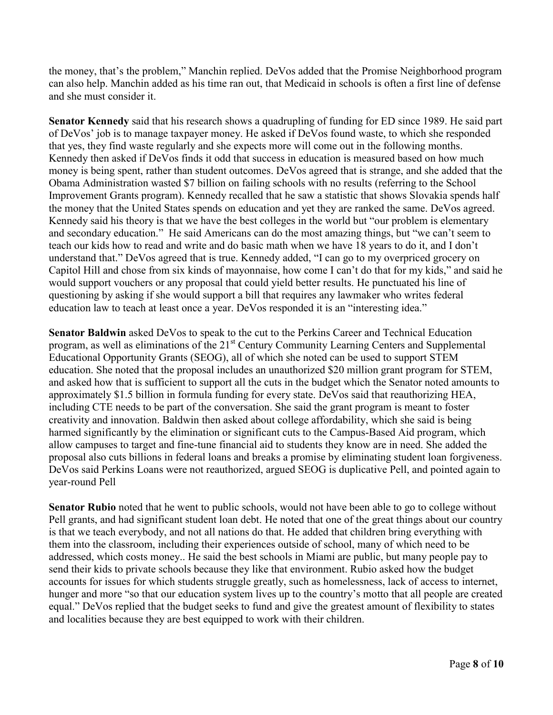the money, that's the problem," Manchin replied. DeVos added that the Promise Neighborhood program can also help. Manchin added as his time ran out, that Medicaid in schools is often a first line of defense and she must consider it.

**Senator Kennedy** said that his research shows a quadrupling of funding for ED since 1989. He said part of DeVos' job is to manage taxpayer money. He asked if DeVos found waste, to which she responded that yes, they find waste regularly and she expects more will come out in the following months. Kennedy then asked if DeVos finds it odd that success in education is measured based on how much money is being spent, rather than student outcomes. DeVos agreed that is strange, and she added that the Obama Administration wasted \$7 billion on failing schools with no results (referring to the School Improvement Grants program). Kennedy recalled that he saw a statistic that shows Slovakia spends half the money that the United States spends on education and yet they are ranked the same. DeVos agreed. Kennedy said his theory is that we have the best colleges in the world but "our problem is elementary and secondary education." He said Americans can do the most amazing things, but "we can't seem to teach our kids how to read and write and do basic math when we have 18 years to do it, and I don't understand that." DeVos agreed that is true. Kennedy added, "I can go to my overpriced grocery on Capitol Hill and chose from six kinds of mayonnaise, how come I can't do that for my kids," and said he would support vouchers or any proposal that could yield better results. He punctuated his line of questioning by asking if she would support a bill that requires any lawmaker who writes federal education law to teach at least once a year. DeVos responded it is an "interesting idea."

**Senator Baldwin** asked DeVos to speak to the cut to the Perkins Career and Technical Education program, as well as eliminations of the 21<sup>st</sup> Century Community Learning Centers and Supplemental Educational Opportunity Grants (SEOG), all of which she noted can be used to support STEM education. She noted that the proposal includes an unauthorized \$20 million grant program for STEM, and asked how that is sufficient to support all the cuts in the budget which the Senator noted amounts to approximately \$1.5 billion in formula funding for every state. DeVos said that reauthorizing HEA, including CTE needs to be part of the conversation. She said the grant program is meant to foster creativity and innovation. Baldwin then asked about college affordability, which she said is being harmed significantly by the elimination or significant cuts to the Campus-Based Aid program, which allow campuses to target and fine-tune financial aid to students they know are in need. She added the proposal also cuts billions in federal loans and breaks a promise by eliminating student loan forgiveness. DeVos said Perkins Loans were not reauthorized, argued SEOG is duplicative Pell, and pointed again to year-round Pell

**Senator Rubio** noted that he went to public schools, would not have been able to go to college without Pell grants, and had significant student loan debt. He noted that one of the great things about our country is that we teach everybody, and not all nations do that. He added that children bring everything with them into the classroom, including their experiences outside of school, many of which need to be addressed, which costs money.. He said the best schools in Miami are public, but many people pay to send their kids to private schools because they like that environment. Rubio asked how the budget accounts for issues for which students struggle greatly, such as homelessness, lack of access to internet, hunger and more "so that our education system lives up to the country's motto that all people are created equal." DeVos replied that the budget seeks to fund and give the greatest amount of flexibility to states and localities because they are best equipped to work with their children.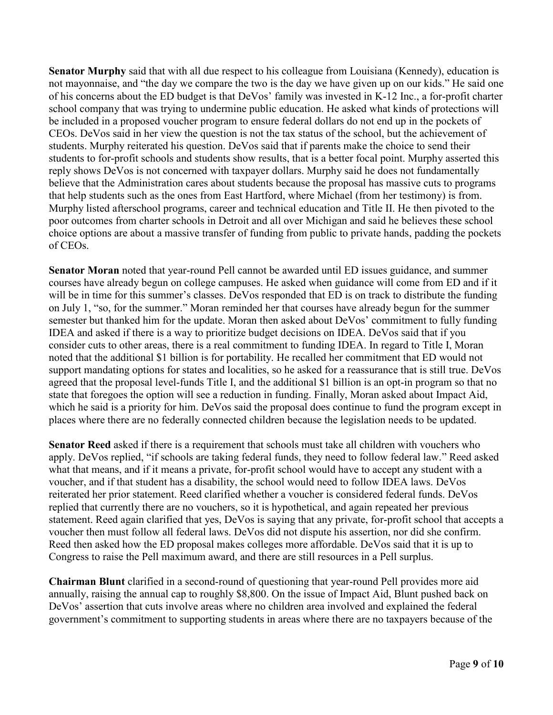**Senator Murphy** said that with all due respect to his colleague from Louisiana (Kennedy), education is not mayonnaise, and "the day we compare the two is the day we have given up on our kids." He said one of his concerns about the ED budget is that DeVos' family was invested in K-12 Inc., a for-profit charter school company that was trying to undermine public education. He asked what kinds of protections will be included in a proposed voucher program to ensure federal dollars do not end up in the pockets of CEOs. DeVos said in her view the question is not the tax status of the school, but the achievement of students. Murphy reiterated his question. DeVos said that if parents make the choice to send their students to for-profit schools and students show results, that is a better focal point. Murphy asserted this reply shows DeVos is not concerned with taxpayer dollars. Murphy said he does not fundamentally believe that the Administration cares about students because the proposal has massive cuts to programs that help students such as the ones from East Hartford, where Michael (from her testimony) is from. Murphy listed afterschool programs, career and technical education and Title II. He then pivoted to the poor outcomes from charter schools in Detroit and all over Michigan and said he believes these school choice options are about a massive transfer of funding from public to private hands, padding the pockets of CEOs.

**Senator Moran** noted that year-round Pell cannot be awarded until ED issues guidance, and summer courses have already begun on college campuses. He asked when guidance will come from ED and if it will be in time for this summer's classes. DeVos responded that ED is on track to distribute the funding on July 1, "so, for the summer." Moran reminded her that courses have already begun for the summer semester but thanked him for the update. Moran then asked about DeVos' commitment to fully funding IDEA and asked if there is a way to prioritize budget decisions on IDEA. DeVos said that if you consider cuts to other areas, there is a real commitment to funding IDEA. In regard to Title I, Moran noted that the additional \$1 billion is for portability. He recalled her commitment that ED would not support mandating options for states and localities, so he asked for a reassurance that is still true. DeVos agreed that the proposal level-funds Title I, and the additional \$1 billion is an opt-in program so that no state that foregoes the option will see a reduction in funding. Finally, Moran asked about Impact Aid, which he said is a priority for him. DeVos said the proposal does continue to fund the program except in places where there are no federally connected children because the legislation needs to be updated.

**Senator Reed** asked if there is a requirement that schools must take all children with vouchers who apply. DeVos replied, "if schools are taking federal funds, they need to follow federal law." Reed asked what that means, and if it means a private, for-profit school would have to accept any student with a voucher, and if that student has a disability, the school would need to follow IDEA laws. DeVos reiterated her prior statement. Reed clarified whether a voucher is considered federal funds. DeVos replied that currently there are no vouchers, so it is hypothetical, and again repeated her previous statement. Reed again clarified that yes, DeVos is saying that any private, for-profit school that accepts a voucher then must follow all federal laws. DeVos did not dispute his assertion, nor did she confirm. Reed then asked how the ED proposal makes colleges more affordable. DeVos said that it is up to Congress to raise the Pell maximum award, and there are still resources in a Pell surplus.

**Chairman Blunt** clarified in a second-round of questioning that year-round Pell provides more aid annually, raising the annual cap to roughly \$8,800. On the issue of Impact Aid, Blunt pushed back on DeVos' assertion that cuts involve areas where no children area involved and explained the federal government's commitment to supporting students in areas where there are no taxpayers because of the